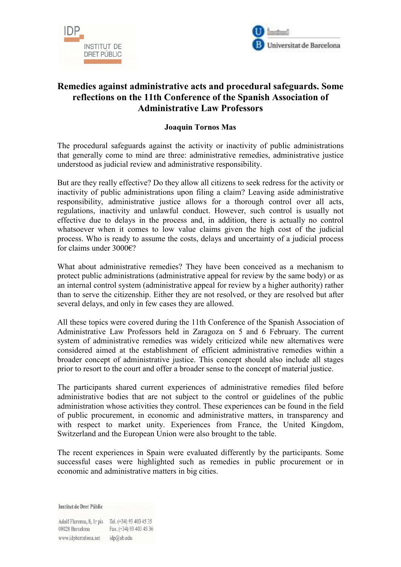



## **Remedies against administrative acts and procedural safeguards. Some reflections on the 11th Conference of the Spanish Association of Administrative Law Professors**

## **Joaquin Tornos Mas**

The procedural safeguards against the activity or inactivity of public administrations that generally come to mind are three: administrative remedies, administrative justice understood as judicial review and administrative responsibility.

But are they really effective? Do they allow all citizens to seek redress for the activity or inactivity of public administrations upon filing a claim? Leaving aside administrative responsibility, administrative justice allows for a thorough control over all acts, regulations, inactivity and unlawful conduct. However, such control is usually not effective due to delays in the process and, in addition, there is actually no control whatsoever when it comes to low value claims given the high cost of the judicial process. Who is ready to assume the costs, delays and uncertainty of a judicial process for claims under 3000€?

What about administrative remedies? They have been conceived as a mechanism to protect public administrations (administrative appeal for review by the same body) or as an internal control system (administrative appeal for review by a higher authority) rather than to serve the citizenship. Either they are not resolved, or they are resolved but after several delays, and only in few cases they are allowed.

All these topics were covered during the 11th Conference of the Spanish Association of Administrative Law Professors held in Zaragoza on 5 and 6 February. The current system of administrative remedies was widely criticized while new alternatives were considered aimed at the establishment of efficient administrative remedies within a broader concept of administrative justice. This concept should also include all stages prior to resort to the court and offer a broader sense to the concept of material justice.

The participants shared current experiences of administrative remedies filed before administrative bodies that are not subject to the control or guidelines of the public administration whose activities they control. These experiences can be found in the field of public procurement, in economic and administrative matters, in transparency and with respect to market unity. Experiences from France, the United Kingdom, Switzerland and the European Union were also brought to the table.

The recent experiences in Spain were evaluated differently by the participants. Some successful cases were highlighted such as remedies in public procurement or in economic and administrative matters in big cities.

**Institut de Dret Públic** 

Adolf Florensa, 8, Ir pis Tel. (+34) 93 403 45 35 Fax. (+34) 93 403 45 36 08028 Barcelona www.idpbarcelona.net idp@ub.edu